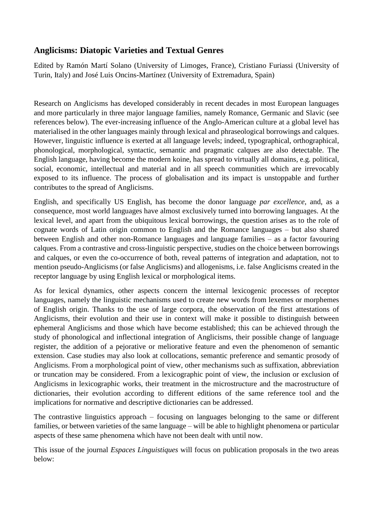# **Anglicisms: Diatopic Varieties and Textual Genres**

Edited by Ramón Martí Solano (University of Limoges, France), Cristiano Furiassi (University of Turin, Italy) and José Luis Oncins-Martínez (University of Extremadura, Spain)

Research on Anglicisms has developed considerably in recent decades in most European languages and more particularly in three major language families, namely Romance, Germanic and Slavic (see references below). The ever-increasing influence of the Anglo-American culture at a global level has materialised in the other languages mainly through lexical and phraseological borrowings and calques. However, linguistic influence is exerted at all language levels; indeed, typographical, orthographical, phonological, morphological, syntactic, semantic and pragmatic calques are also detectable. The English language, having become the modern koine, has spread to virtually all domains, e.g. political, social, economic, intellectual and material and in all speech communities which are irrevocably exposed to its influence. The process of globalisation and its impact is unstoppable and further contributes to the spread of Anglicisms.

English, and specifically US English, has become the donor language *par excellence*, and, as a consequence, most world languages have almost exclusively turned into borrowing languages. At the lexical level, and apart from the ubiquitous lexical borrowings, the question arises as to the role of cognate words of Latin origin common to English and the Romance languages – but also shared between English and other non-Romance languages and language families – as a factor favouring calques. From a contrastive and cross-linguistic perspective, studies on the choice between borrowings and calques, or even the co-occurrence of both, reveal patterns of integration and adaptation, not to mention pseudo-Anglicisms (or false Anglicisms) and allogenisms, i.e. false Anglicisms created in the receptor language by using English lexical or morphological items.

As for lexical dynamics, other aspects concern the internal lexicogenic processes of receptor languages, namely the linguistic mechanisms used to create new words from lexemes or morphemes of English origin. Thanks to the use of large corpora, the observation of the first attestations of Anglicisms, their evolution and their use in context will make it possible to distinguish between ephemeral Anglicisms and those which have become established; this can be achieved through the study of phonological and inflectional integration of Anglicisms, their possible change of language register, the addition of a pejorative or meliorative feature and even the phenomenon of semantic extension. Case studies may also look at collocations, semantic preference and semantic prosody of Anglicisms. From a morphological point of view, other mechanisms such as suffixation, abbreviation or truncation may be considered. From a lexicographic point of view, the inclusion or exclusion of Anglicisms in lexicographic works, their treatment in the microstructure and the macrostructure of dictionaries, their evolution according to different editions of the same reference tool and the implications for normative and descriptive dictionaries can be addressed.

The contrastive linguistics approach – focusing on languages belonging to the same or different families, or between varieties of the same language – will be able to highlight phenomena or particular aspects of these same phenomena which have not been dealt with until now.

This issue of the journal *Espaces Linguistiques* will focus on publication proposals in the two areas below: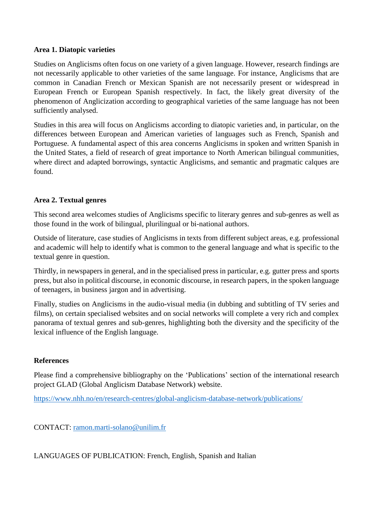### **Area 1. Diatopic varieties**

Studies on Anglicisms often focus on one variety of a given language. However, research findings are not necessarily applicable to other varieties of the same language. For instance, Anglicisms that are common in Canadian French or Mexican Spanish are not necessarily present or widespread in European French or European Spanish respectively. In fact, the likely great diversity of the phenomenon of Anglicization according to geographical varieties of the same language has not been sufficiently analysed.

Studies in this area will focus on Anglicisms according to diatopic varieties and, in particular, on the differences between European and American varieties of languages such as French, Spanish and Portuguese. A fundamental aspect of this area concerns Anglicisms in spoken and written Spanish in the United States, a field of research of great importance to North American bilingual communities, where direct and adapted borrowings, syntactic Anglicisms, and semantic and pragmatic calques are found.

## **Area 2. Textual genres**

This second area welcomes studies of Anglicisms specific to literary genres and sub-genres as well as those found in the work of bilingual, plurilingual or bi-national authors.

Outside of literature, case studies of Anglicisms in texts from different subject areas, e.g. professional and academic will help to identify what is common to the general language and what is specific to the textual genre in question.

Thirdly, in newspapers in general, and in the specialised press in particular, e.g. gutter press and sports press, but also in political discourse, in economic discourse, in research papers, in the spoken language of teenagers, in business jargon and in advertising.

Finally, studies on Anglicisms in the audio-visual media (in dubbing and subtitling of TV series and films), on certain specialised websites and on social networks will complete a very rich and complex panorama of textual genres and sub-genres, highlighting both the diversity and the specificity of the lexical influence of the English language.

#### **References**

Please find a comprehensive bibliography on the 'Publications' section of the international research project GLAD (Global Anglicism Database Network) website.

<https://www.nhh.no/en/research-centres/global-anglicism-database-network/publications/>

CONTACT: [ramon.marti-solano@unilim.fr](mailto:ramon.marti-solano@unilim.fr)

LANGUAGES OF PUBLICATION: French, English, Spanish and Italian